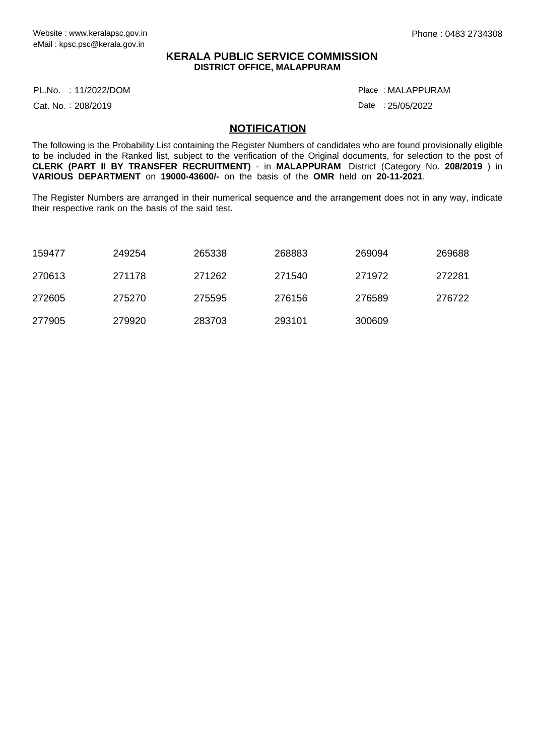## **KERALA PUBLIC SERVICE COMMISSION DISTRICT OFFICE, MALAPPURAM**

11/2022/DOM Place : PL.No.

Cat. No.: 208/2019

MALAPPURAM :

Date : 25/05/2022

## **NOTIFICATION**

The following is the Probability List containing the Register Numbers of candidates who are found provisionally eligible to be included in the Ranked list, subject to the verification of the Original documents, for selection to the post of **CLERK (PART II BY TRANSFER RECRUITMENT)** - in **MALAPPURAM** District (Category No. **208/2019** ) in **VARIOUS DEPARTMENT** on **19000-43600/-** on the basis of the **OMR** held on **20-11-2021**.

The Register Numbers are arranged in their numerical sequence and the arrangement does not in any way, indicate their respective rank on the basis of the said test.

| 159477 | 249254 | 265338 | 268883 | 269094 | 269688 |
|--------|--------|--------|--------|--------|--------|
| 270613 | 271178 | 271262 | 271540 | 271972 | 272281 |
| 272605 | 275270 | 275595 | 276156 | 276589 | 276722 |
| 277905 | 279920 | 283703 | 293101 | 300609 |        |